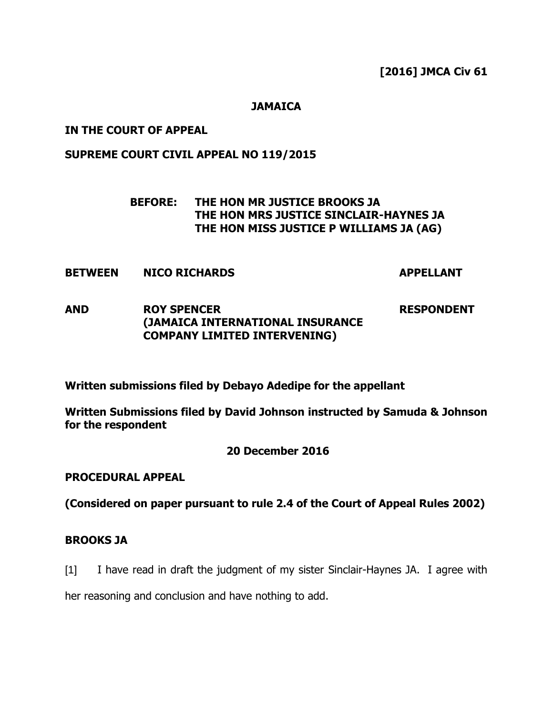**[2016] JMCA Civ 61**

# **JAMAICA**

# **IN THE COURT OF APPEAL**

# **SUPREME COURT CIVIL APPEAL NO 119/2015**

# **BEFORE: THE HON MR JUSTICE BROOKS JA THE HON MRS JUSTICE SINCLAIR-HAYNES JA THE HON MISS JUSTICE P WILLIAMS JA (AG)**

**BETWEEN NICO RICHARDS APPELLANT**

#### **AND ROY SPENCER (JAMAICA INTERNATIONAL INSURANCE COMPANY LIMITED INTERVENING) RESPONDENT**

**Written submissions filed by Debayo Adedipe for the appellant** 

**Written Submissions filed by David Johnson instructed by Samuda & Johnson for the respondent**

# **20 December 2016**

# **PROCEDURAL APPEAL**

**(Considered on paper pursuant to rule 2.4 of the Court of Appeal Rules 2002)** 

# **BROOKS JA**

[1] I have read in draft the judgment of my sister Sinclair-Haynes JA. I agree with

her reasoning and conclusion and have nothing to add.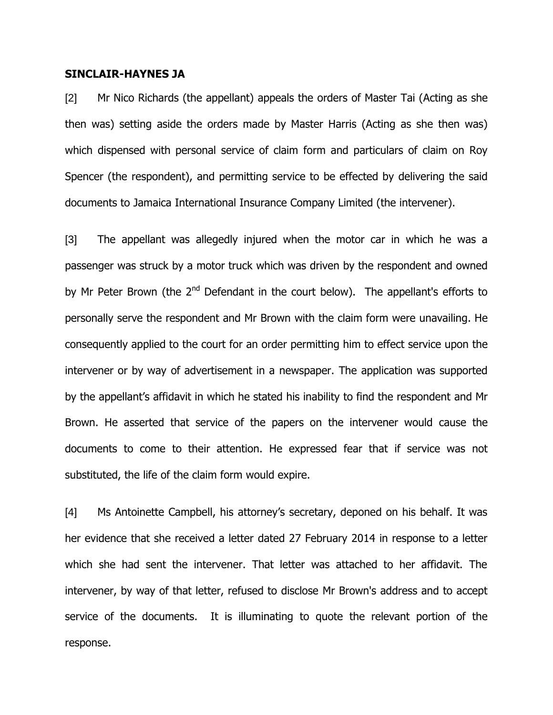### **SINCLAIR-HAYNES JA**

[2] Mr Nico Richards (the appellant) appeals the orders of Master Tai (Acting as she then was) setting aside the orders made by Master Harris (Acting as she then was) which dispensed with personal service of claim form and particulars of claim on Roy Spencer (the respondent), and permitting service to be effected by delivering the said documents to Jamaica International Insurance Company Limited (the intervener).

[3] The appellant was allegedly injured when the motor car in which he was a passenger was struck by a motor truck which was driven by the respondent and owned by Mr Peter Brown (the  $2<sup>nd</sup>$  Defendant in the court below). The appellant's efforts to personally serve the respondent and Mr Brown with the claim form were unavailing. He consequently applied to the court for an order permitting him to effect service upon the intervener or by way of advertisement in a newspaper. The application was supported by the appellant's affidavit in which he stated his inability to find the respondent and Mr Brown. He asserted that service of the papers on the intervener would cause the documents to come to their attention. He expressed fear that if service was not substituted, the life of the claim form would expire.

[4] Ms Antoinette Campbell, his attorney"s secretary, deponed on his behalf. It was her evidence that she received a letter dated 27 February 2014 in response to a letter which she had sent the intervener. That letter was attached to her affidavit. The intervener, by way of that letter, refused to disclose Mr Brown's address and to accept service of the documents. It is illuminating to quote the relevant portion of the response.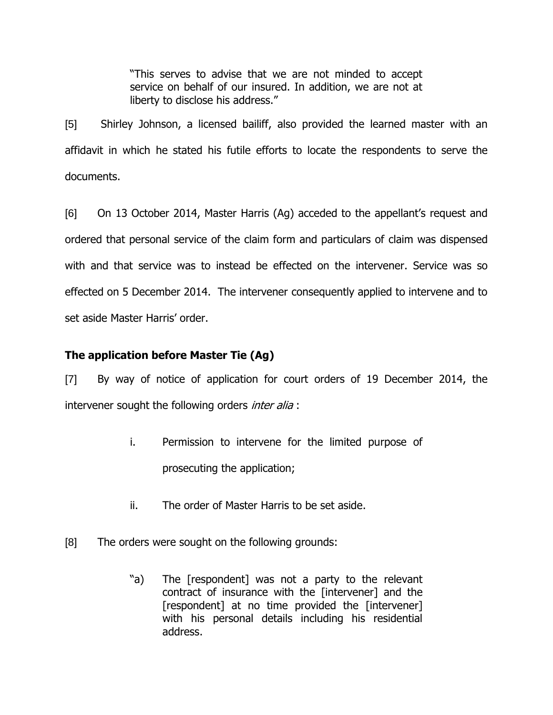"This serves to advise that we are not minded to accept service on behalf of our insured. In addition, we are not at liberty to disclose his address."

[5] Shirley Johnson, a licensed bailiff, also provided the learned master with an affidavit in which he stated his futile efforts to locate the respondents to serve the documents.

[6] On 13 October 2014, Master Harris (Ag) acceded to the appellant"s request and ordered that personal service of the claim form and particulars of claim was dispensed with and that service was to instead be effected on the intervener. Service was so effected on 5 December 2014. The intervener consequently applied to intervene and to set aside Master Harris' order.

# **The application before Master Tie (Ag)**

[7] By way of notice of application for court orders of 19 December 2014, the intervener sought the following orders *inter alia* :

- i. Permission to intervene for the limited purpose of prosecuting the application;
- ii. The order of Master Harris to be set aside.
- [8] The orders were sought on the following grounds:
	- "a) The [respondent] was not a party to the relevant contract of insurance with the [intervener] and the [respondent] at no time provided the [intervener] with his personal details including his residential address.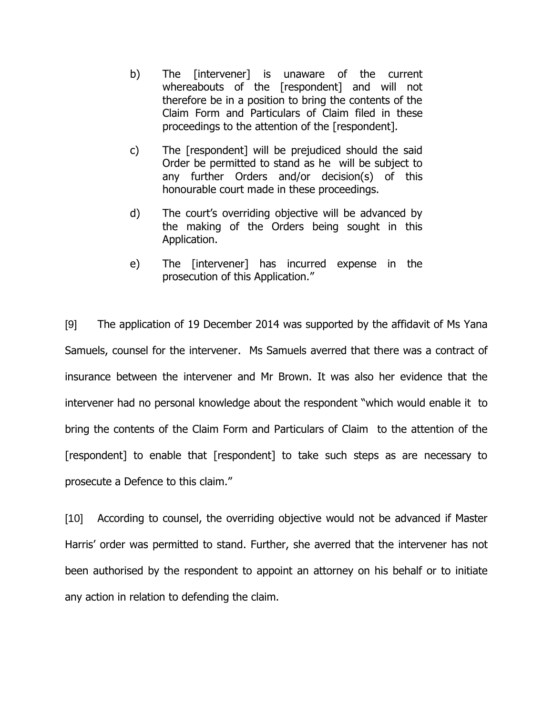- b) The [intervener] is unaware of the current whereabouts of the [respondent] and will not therefore be in a position to bring the contents of the Claim Form and Particulars of Claim filed in these proceedings to the attention of the [respondent].
- c) The [respondent] will be prejudiced should the said Order be permitted to stand as he will be subject to any further Orders and/or decision(s) of this honourable court made in these proceedings.
- d) The court"s overriding objective will be advanced by the making of the Orders being sought in this Application.
- e) The [intervener] has incurred expense in the prosecution of this Application."

[9] The application of 19 December 2014 was supported by the affidavit of Ms Yana Samuels, counsel for the intervener. Ms Samuels averred that there was a contract of insurance between the intervener and Mr Brown. It was also her evidence that the intervener had no personal knowledge about the respondent "which would enable it to bring the contents of the Claim Form and Particulars of Claim to the attention of the [respondent] to enable that [respondent] to take such steps as are necessary to prosecute a Defence to this claim."

[10] According to counsel, the overriding objective would not be advanced if Master Harris" order was permitted to stand. Further, she averred that the intervener has not been authorised by the respondent to appoint an attorney on his behalf or to initiate any action in relation to defending the claim.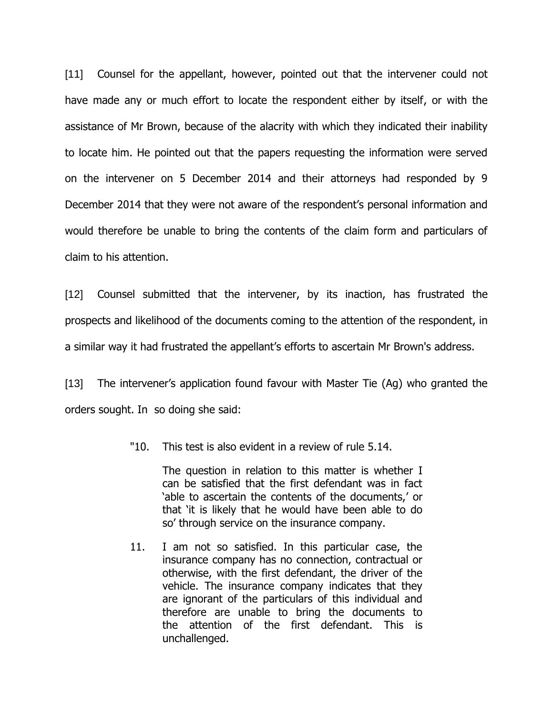[11] Counsel for the appellant, however, pointed out that the intervener could not have made any or much effort to locate the respondent either by itself, or with the assistance of Mr Brown, because of the alacrity with which they indicated their inability to locate him. He pointed out that the papers requesting the information were served on the intervener on 5 December 2014 and their attorneys had responded by 9 December 2014 that they were not aware of the respondent"s personal information and would therefore be unable to bring the contents of the claim form and particulars of claim to his attention.

[12] Counsel submitted that the intervener, by its inaction, has frustrated the prospects and likelihood of the documents coming to the attention of the respondent, in a similar way it had frustrated the appellant"s efforts to ascertain Mr Brown's address.

[13] The intervener"s application found favour with Master Tie (Ag) who granted the orders sought. In so doing she said:

"10. This test is also evident in a review of rule 5.14.

The question in relation to this matter is whether I can be satisfied that the first defendant was in fact 'able to ascertain the contents of the documents,' or that "it is likely that he would have been able to do so" through service on the insurance company.

11. I am not so satisfied. In this particular case, the insurance company has no connection, contractual or otherwise, with the first defendant, the driver of the vehicle. The insurance company indicates that they are ignorant of the particulars of this individual and therefore are unable to bring the documents to the attention of the first defendant. This is unchallenged.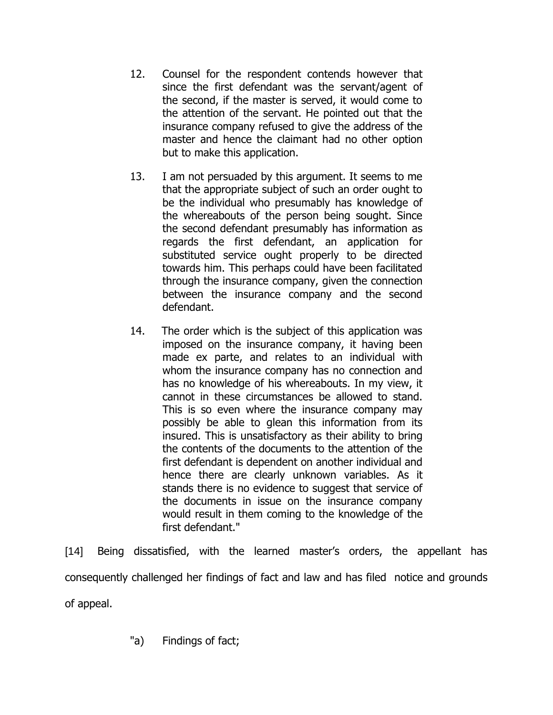- 12. Counsel for the respondent contends however that since the first defendant was the servant/agent of the second, if the master is served, it would come to the attention of the servant. He pointed out that the insurance company refused to give the address of the master and hence the claimant had no other option but to make this application.
- 13. I am not persuaded by this argument. It seems to me that the appropriate subject of such an order ought to be the individual who presumably has knowledge of the whereabouts of the person being sought. Since the second defendant presumably has information as regards the first defendant, an application for substituted service ought properly to be directed towards him. This perhaps could have been facilitated through the insurance company, given the connection between the insurance company and the second defendant.
- 14. The order which is the subject of this application was imposed on the insurance company, it having been made ex parte, and relates to an individual with whom the insurance company has no connection and has no knowledge of his whereabouts. In my view, it cannot in these circumstances be allowed to stand. This is so even where the insurance company may possibly be able to glean this information from its insured. This is unsatisfactory as their ability to bring the contents of the documents to the attention of the first defendant is dependent on another individual and hence there are clearly unknown variables. As it stands there is no evidence to suggest that service of the documents in issue on the insurance company would result in them coming to the knowledge of the first defendant."

[14] Being dissatisfied, with the learned master's orders, the appellant has consequently challenged her findings of fact and law and has filed notice and grounds of appeal.

"a) Findings of fact;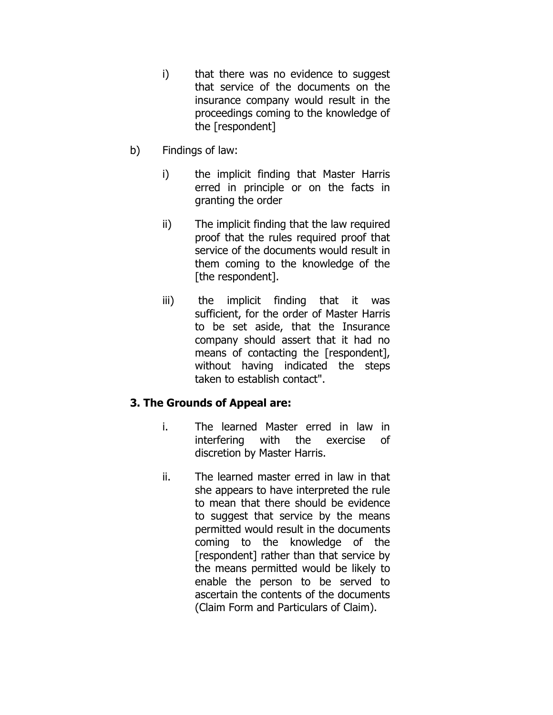- i) that there was no evidence to suggest that service of the documents on the insurance company would result in the proceedings coming to the knowledge of the [respondent]
- b) Findings of law:
	- i) the implicit finding that Master Harris erred in principle or on the facts in granting the order
	- ii) The implicit finding that the law required proof that the rules required proof that service of the documents would result in them coming to the knowledge of the [the respondent].
	- iii) the implicit finding that it was sufficient, for the order of Master Harris to be set aside, that the Insurance company should assert that it had no means of contacting the [respondent], without having indicated the steps taken to establish contact".

# **3. The Grounds of Appeal are:**

- i. The learned Master erred in law in interfering with the exercise of discretion by Master Harris.
- ii. The learned master erred in law in that she appears to have interpreted the rule to mean that there should be evidence to suggest that service by the means permitted would result in the documents coming to the knowledge of the [respondent] rather than that service by the means permitted would be likely to enable the person to be served to ascertain the contents of the documents (Claim Form and Particulars of Claim).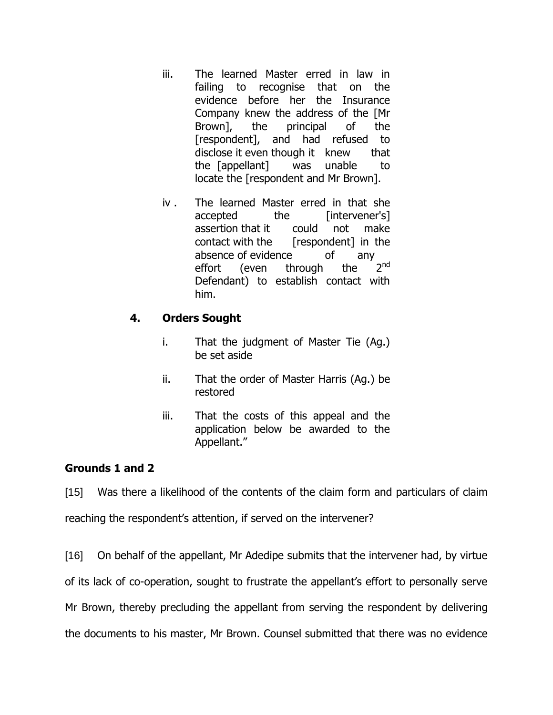- iii. The learned Master erred in law in failing to recognise that on the evidence before her the Insurance Company knew the address of the [Mr Brown], the principal of the [respondent], and had refused to disclose it even though it knew that the [appellant] was unable to locate the [respondent and Mr Brown].
- iv . The learned Master erred in that she accepted the [intervener's] assertion that it could not make contact with the [respondent] in the absence of evidence of any effort (even through the  $2<sub>nd</sub>$ Defendant) to establish contact with him.

# **4. Orders Sought**

- i. That the judgment of Master Tie (Ag.) be set aside
- ii. That the order of Master Harris (Ag.) be restored
- iii. That the costs of this appeal and the application below be awarded to the Appellant."

# **Grounds 1 and 2**

[15] Was there a likelihood of the contents of the claim form and particulars of claim reaching the respondent's attention, if served on the intervener?

[16] On behalf of the appellant, Mr Adedipe submits that the intervener had, by virtue of its lack of co-operation, sought to frustrate the appellant"s effort to personally serve Mr Brown, thereby precluding the appellant from serving the respondent by delivering the documents to his master, Mr Brown. Counsel submitted that there was no evidence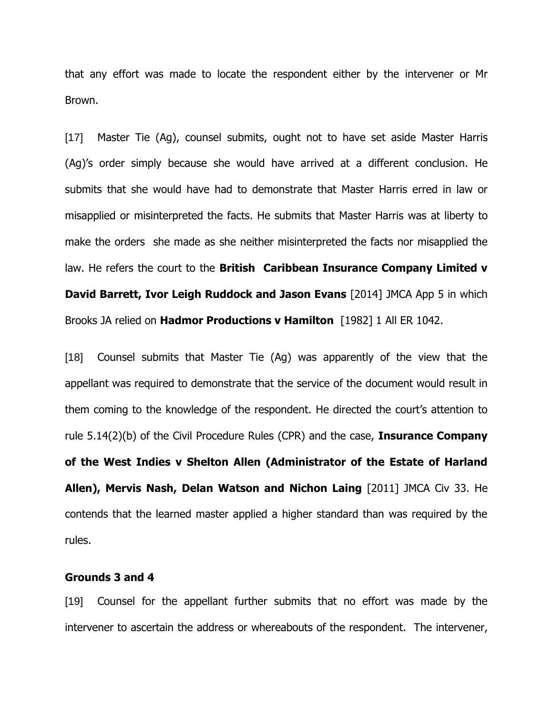that any effort was made to locate the respondent either by the intervener or Mr Brown.

[17] Master Tie (Ag), counsel submits, ought not to have set aside Master Harris (Ag)"s order simply because she would have arrived at a different conclusion. He submits that she would have had to demonstrate that Master Harris erred in law or misapplied or misinterpreted the facts. He submits that Master Harris was at liberty to make the orders she made as she neither misinterpreted the facts nor misapplied the law. He refers the court to the **British Caribbean Insurance Company Limited v David Barrett, Ivor Leigh Ruddock and Jason Evans** [2014] JMCA App 5 in which Brooks JA relied on **Hadmor Productions v Hamilton** [1982] 1 All ER 1042.

[18] Counsel submits that Master Tie (Ag) was apparently of the view that the appellant was required to demonstrate that the service of the document would result in them coming to the knowledge of the respondent. He directed the court's attention to rule 5.14(2)(b) of the Civil Procedure Rules (CPR) and the case, **Insurance Company of the West Indies v Shelton Allen (Administrator of the Estate of Harland Allen), Mervis Nash, Delan Watson and Nichon Laing** [2011] JMCA Civ 33. He contends that the learned master applied a higher standard than was required by the rules.

# **Grounds 3 and 4**

[19] Counsel for the appellant further submits that no effort was made by the intervener to ascertain the address or whereabouts of the respondent. The intervener,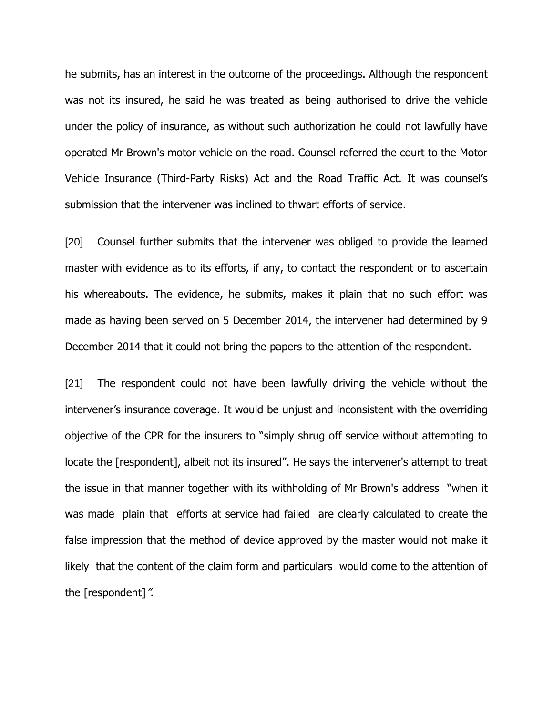he submits, has an interest in the outcome of the proceedings. Although the respondent was not its insured, he said he was treated as being authorised to drive the vehicle under the policy of insurance, as without such authorization he could not lawfully have operated Mr Brown's motor vehicle on the road. Counsel referred the court to the Motor Vehicle Insurance (Third-Party Risks) Act and the Road Traffic Act. It was counsel"s submission that the intervener was inclined to thwart efforts of service.

[20] Counsel further submits that the intervener was obliged to provide the learned master with evidence as to its efforts, if any, to contact the respondent or to ascertain his whereabouts. The evidence, he submits, makes it plain that no such effort was made as having been served on 5 December 2014, the intervener had determined by 9 December 2014 that it could not bring the papers to the attention of the respondent.

[21] The respondent could not have been lawfully driving the vehicle without the intervener's insurance coverage. It would be unjust and inconsistent with the overriding objective of the CPR for the insurers to "simply shrug off service without attempting to locate the [respondent], albeit not its insured". He says the intervener's attempt to treat the issue in that manner together with its withholding of Mr Brown's address "when it was made plain that efforts at service had failed are clearly calculated to create the false impression that the method of device approved by the master would not make it likely that the content of the claim form and particulars would come to the attention of the [respondent]".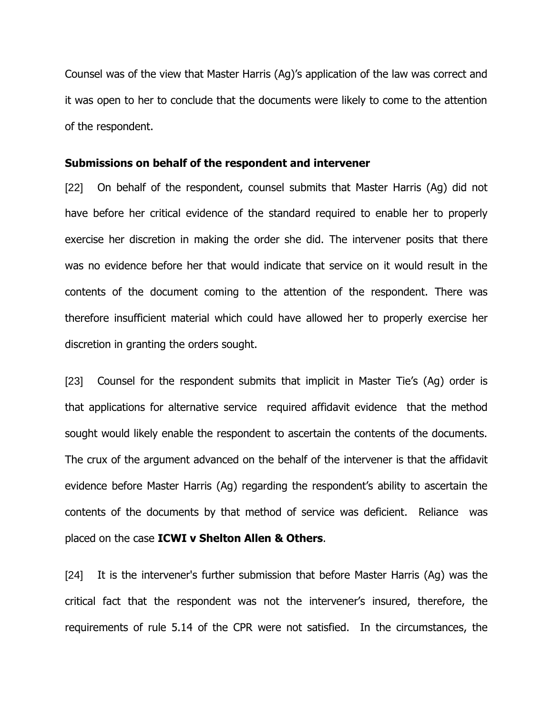Counsel was of the view that Master Harris (Ag)"s application of the law was correct and it was open to her to conclude that the documents were likely to come to the attention of the respondent.

#### **Submissions on behalf of the respondent and intervener**

[22] On behalf of the respondent, counsel submits that Master Harris (Ag) did not have before her critical evidence of the standard required to enable her to properly exercise her discretion in making the order she did. The intervener posits that there was no evidence before her that would indicate that service on it would result in the contents of the document coming to the attention of the respondent. There was therefore insufficient material which could have allowed her to properly exercise her discretion in granting the orders sought.

[23] Counsel for the respondent submits that implicit in Master Tie's (Ag) order is that applications for alternative service required affidavit evidence that the method sought would likely enable the respondent to ascertain the contents of the documents. The crux of the argument advanced on the behalf of the intervener is that the affidavit evidence before Master Harris (Ag) regarding the respondent"s ability to ascertain the contents of the documents by that method of service was deficient. Reliance was placed on the case **ICWI v Shelton Allen & Others**.

[24] It is the intervener's further submission that before Master Harris (Ag) was the critical fact that the respondent was not the intervener"s insured, therefore, the requirements of rule 5.14 of the CPR were not satisfied. In the circumstances, the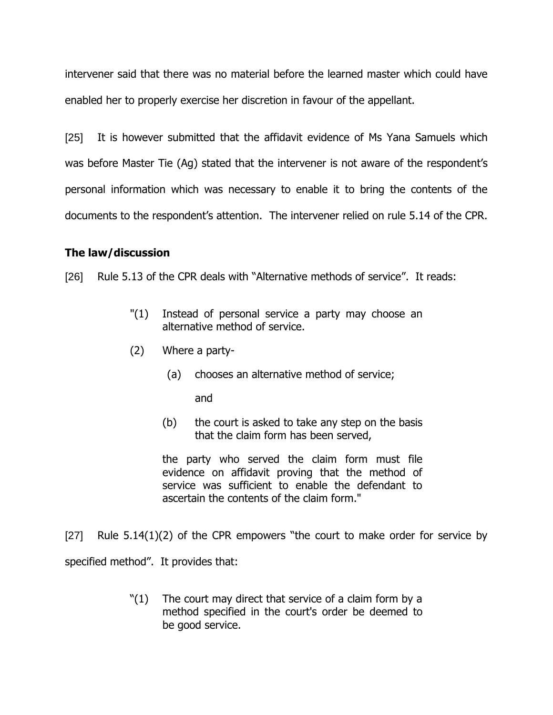intervener said that there was no material before the learned master which could have enabled her to properly exercise her discretion in favour of the appellant.

[25] It is however submitted that the affidavit evidence of Ms Yana Samuels which was before Master Tie (Ag) stated that the intervener is not aware of the respondent's personal information which was necessary to enable it to bring the contents of the documents to the respondent"s attention. The intervener relied on rule 5.14 of the CPR.

# **The law/discussion**

[26] Rule 5.13 of the CPR deals with "Alternative methods of service". It reads:

- "(1) Instead of personal service a party may choose an alternative method of service.
- (2) Where a party-
	- (a) chooses an alternative method of service;

and

(b) the court is asked to take any step on the basis that the claim form has been served,

the party who served the claim form must file evidence on affidavit proving that the method of service was sufficient to enable the defendant to ascertain the contents of the claim form."

[27] Rule  $5.14(1)(2)$  of the CPR empowers "the court to make order for service by specified method". It provides that:

> "(1) The court may direct that service of a claim form by a method specified in the court's order be deemed to be good service.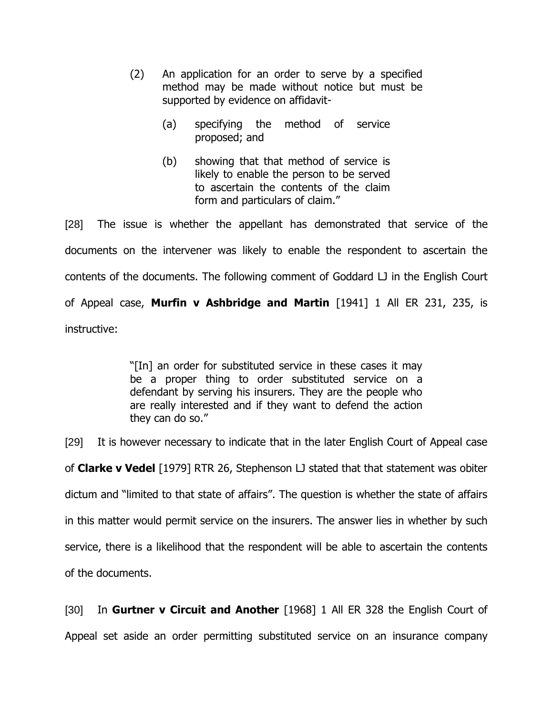- (2) An application for an order to serve by a specified method may be made without notice but must be supported by evidence on affidavit-
	- (a) specifying the method of service proposed; and
	- (b) showing that that method of service is likely to enable the person to be served to ascertain the contents of the claim form and particulars of claim."

[28] The issue is whether the appellant has demonstrated that service of the documents on the intervener was likely to enable the respondent to ascertain the contents of the documents. The following comment of Goddard LJ in the English Court of Appeal case, **Murfin v Ashbridge and Martin** [1941] 1 All ER 231, 235, is instructive:

> "[In] an order for substituted service in these cases it may be a proper thing to order substituted service on a defendant by serving his insurers. They are the people who are really interested and if they want to defend the action they can do so."

[29] It is however necessary to indicate that in the later English Court of Appeal case of **Clarke v Vedel** [1979] RTR 26, Stephenson LJ stated that that statement was obiter dictum and "limited to that state of affairs". The question is whether the state of affairs in this matter would permit service on the insurers. The answer lies in whether by such service, there is a likelihood that the respondent will be able to ascertain the contents of the documents.

[30] In **Gurtner v Circuit and Another** [1968] 1 All ER 328 the English Court of Appeal set aside an order permitting substituted service on an insurance company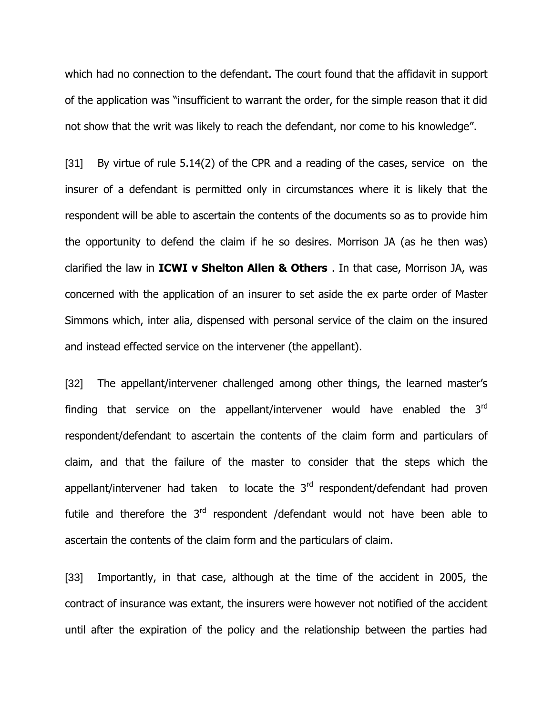which had no connection to the defendant. The court found that the affidavit in support of the application was "insufficient to warrant the order, for the simple reason that it did not show that the writ was likely to reach the defendant, nor come to his knowledge".

[31] By virtue of rule 5.14(2) of the CPR and a reading of the cases, service on the insurer of a defendant is permitted only in circumstances where it is likely that the respondent will be able to ascertain the contents of the documents so as to provide him the opportunity to defend the claim if he so desires. Morrison JA (as he then was) clarified the law in **ICWI v Shelton Allen & Others** . In that case, Morrison JA, was concerned with the application of an insurer to set aside the ex parte order of Master Simmons which, inter alia, dispensed with personal service of the claim on the insured and instead effected service on the intervener (the appellant).

[32] The appellant/intervener challenged among other things, the learned master's finding that service on the appellant/intervener would have enabled the  $3<sup>rd</sup>$ respondent/defendant to ascertain the contents of the claim form and particulars of claim, and that the failure of the master to consider that the steps which the appellant/intervener had taken to locate the  $3<sup>rd</sup>$  respondent/defendant had proven futile and therefore the  $3<sup>rd</sup>$  respondent /defendant would not have been able to ascertain the contents of the claim form and the particulars of claim.

[33] Importantly, in that case, although at the time of the accident in 2005, the contract of insurance was extant, the insurers were however not notified of the accident until after the expiration of the policy and the relationship between the parties had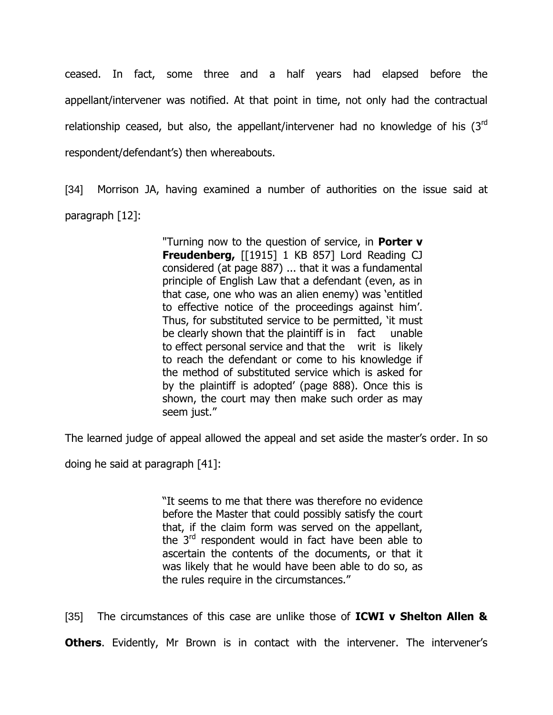ceased. In fact, some three and a half years had elapsed before the appellant/intervener was notified. At that point in time, not only had the contractual relationship ceased, but also, the appellant/intervener had no knowledge of his  $(3<sup>rd</sup>$ respondent/defendant"s) then whereabouts.

[34] Morrison JA, having examined a number of authorities on the issue said at paragraph [12]:

> "Turning now to the question of service, in **Porter v Freudenberg,** [[1915] 1 KB 857] Lord Reading CJ considered (at page 887) ... that it was a fundamental principle of English Law that a defendant (even, as in that case, one who was an alien enemy) was "entitled to effective notice of the proceedings against him". Thus, for substituted service to be permitted, "it must be clearly shown that the plaintiff is in fact unable to effect personal service and that the writ is likely to reach the defendant or come to his knowledge if the method of substituted service which is asked for by the plaintiff is adopted" (page 888). Once this is shown, the court may then make such order as may seem just."

The learned judge of appeal allowed the appeal and set aside the master"s order. In so

doing he said at paragraph [41]:

"It seems to me that there was therefore no evidence before the Master that could possibly satisfy the court that, if the claim form was served on the appellant, the 3<sup>rd</sup> respondent would in fact have been able to ascertain the contents of the documents, or that it was likely that he would have been able to do so, as the rules require in the circumstances."

[35] The circumstances of this case are unlike those of **ICWI v Shelton Allen &** 

**Others.** Evidently, Mr Brown is in contact with the intervener. The intervener's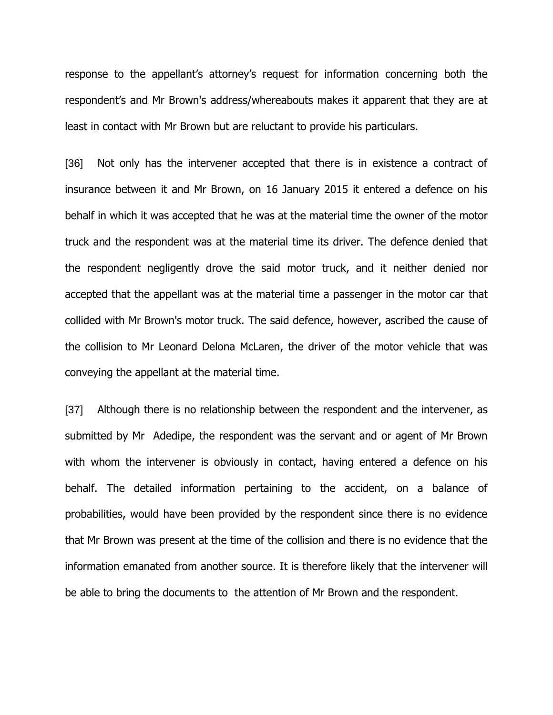response to the appellant's attorney's request for information concerning both the respondent's and Mr Brown's address/whereabouts makes it apparent that they are at least in contact with Mr Brown but are reluctant to provide his particulars.

[36] Not only has the intervener accepted that there is in existence a contract of insurance between it and Mr Brown, on 16 January 2015 it entered a defence on his behalf in which it was accepted that he was at the material time the owner of the motor truck and the respondent was at the material time its driver. The defence denied that the respondent negligently drove the said motor truck, and it neither denied nor accepted that the appellant was at the material time a passenger in the motor car that collided with Mr Brown's motor truck. The said defence, however, ascribed the cause of the collision to Mr Leonard Delona McLaren, the driver of the motor vehicle that was conveying the appellant at the material time.

[37] Although there is no relationship between the respondent and the intervener, as submitted by Mr Adedipe, the respondent was the servant and or agent of Mr Brown with whom the intervener is obviously in contact, having entered a defence on his behalf. The detailed information pertaining to the accident, on a balance of probabilities, would have been provided by the respondent since there is no evidence that Mr Brown was present at the time of the collision and there is no evidence that the information emanated from another source. It is therefore likely that the intervener will be able to bring the documents to the attention of Mr Brown and the respondent.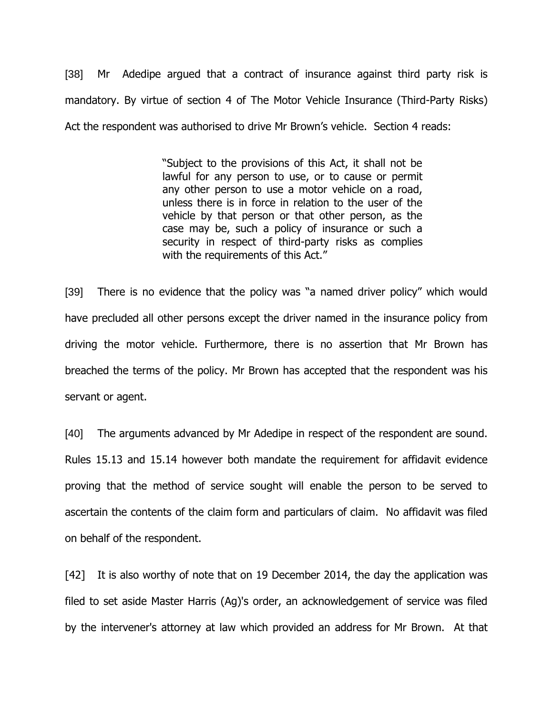[38] Mr Adedipe argued that a contract of insurance against third party risk is mandatory. By virtue of section 4 of The Motor Vehicle Insurance (Third-Party Risks) Act the respondent was authorised to drive Mr Brown"s vehicle. Section 4 reads:

> "Subject to the provisions of this Act, it shall not be lawful for any person to use, or to cause or permit any other person to use a motor vehicle on a road, unless there is in force in relation to the user of the vehicle by that person or that other person, as the case may be, such a policy of insurance or such a security in respect of third-party risks as complies with the requirements of this Act."

[39] There is no evidence that the policy was "a named driver policy" which would have precluded all other persons except the driver named in the insurance policy from driving the motor vehicle. Furthermore, there is no assertion that Mr Brown has breached the terms of the policy. Mr Brown has accepted that the respondent was his servant or agent.

[40] The arguments advanced by Mr Adedipe in respect of the respondent are sound. Rules 15.13 and 15.14 however both mandate the requirement for affidavit evidence proving that the method of service sought will enable the person to be served to ascertain the contents of the claim form and particulars of claim. No affidavit was filed on behalf of the respondent.

[42] It is also worthy of note that on 19 December 2014, the day the application was filed to set aside Master Harris (Ag)'s order, an acknowledgement of service was filed by the intervener's attorney at law which provided an address for Mr Brown. At that